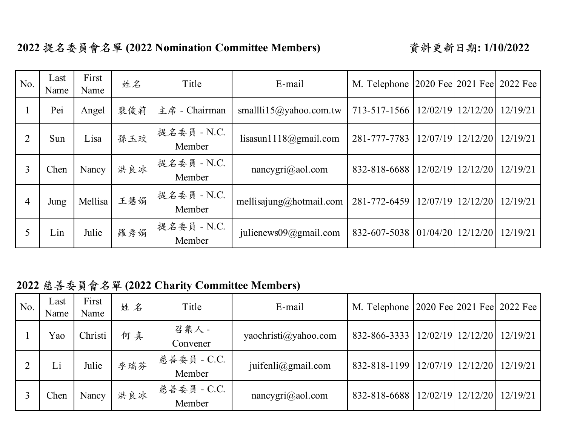| No.            | Last<br>Name | First<br>Name | 姓名  | Title                 | E-mail                    | M. Telephone |                   |          | $ 2020 \text{ Fee}  2021 \text{ Fee}   2022 \text{ Fee}$ |
|----------------|--------------|---------------|-----|-----------------------|---------------------------|--------------|-------------------|----------|----------------------------------------------------------|
|                | Pei          | Angel         | 裴俊莉 | 主席 - Chairman         | smallli15@yahoo.com.tw    | 713-517-1566 | 12/02/19          | 12/12/20 | 12/19/21                                                 |
| $\overline{2}$ | Sun          | Lisa          | 孫玉玟 | 提名委員 - N.C.<br>Member | lisasun1118@gmail.com     | 281-777-7783 | 12/07/19          | 12/12/20 | 12/19/21                                                 |
| 3              | Chen         | Nancy         | 洪良冰 | 提名委員 - N.C.<br>Member | nancygri@aol.com          | 832-818-6688 | 12/02/19          | 12/12/20 | 12/19/21                                                 |
| 4              | Jung         | Mellisa       | 王慧娟 | 提名委員 - N.C.<br>Member | mellisajung@hotmail.com   | 281-772-6459 | 12/07/19          | 12/12/20 | 12/19/21                                                 |
| 5              | Lin          | Julie         | 羅秀娟 | 提名委員 - N.C.<br>Member | julienews $09@g$ mail.com | 832-607-5038 | 01/04/20 12/12/20 |          | 12/19/21                                                 |

 **2022 慈善委員會名單 (2022 Charity Committee Members)**

| No. | Last<br>Name | First<br>Name | 姓名  | Title                 | E-mail                             | M. Telephone 2020 Fee 2021 Fee 2022 Fee |                         |          |
|-----|--------------|---------------|-----|-----------------------|------------------------------------|-----------------------------------------|-------------------------|----------|
|     | Yao          | Christi       | 何真  | 召集人 -<br>Convener     | yaochristi@yahoo.com               | 832-866-3333                            | 12/02/19 12/12/20       | 12/19/21 |
|     | Li           | Julie         | 李瑞芬 | 慈善委員 - C.C.<br>Member | juifenli $@g$ mail.com             | 832-818-1199                            | 12/07/19 12/12/20       | 12/19/21 |
|     | Chen         | Nancy         | 洪良冰 | 慈善委員 - C.C.<br>Member | $nancy \text{gri}(\omega)$ aol.com | 832-818-6688                            | $12/02/19$   $12/12/20$ | 12/19/21 |